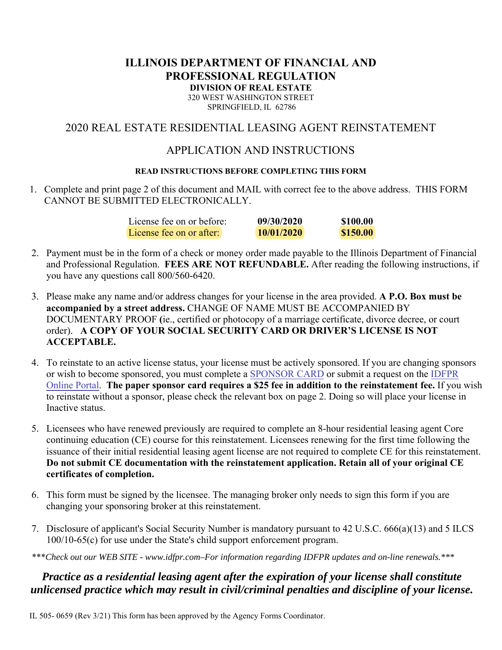# **ILLINOIS DEPARTMENT OF FINANCIAL AND PROFESSIONAL REGULATION DIVISION OF REAL ESTATE**

320 WEST WASHINGTON STREET SPRINGFIELD, IL 62786

### 2020 REAL ESTATE RESIDENTIAL LEASING AGENT REINSTATEMENT

### APPLICATION AND INSTRUCTIONS

#### **READ INSTRUCTIONS BEFORE COMPLETING THIS FORM**

1. Complete and print page 2 of this document and MAIL with correct fee to the above address. THIS FORM CANNOT BE SUBMITTED ELECTRONICALLY.

| License fee on or before: | 09/30/2020 | \$100.00 |
|---------------------------|------------|----------|
| License fee on or after:  | 10/01/2020 | \$150.00 |

- 2. Payment must be in the form of a check or money order made payable to the Illinois Department of Financial and Professional Regulation. **FEES ARE NOT REFUNDABLE.** After reading the following instructions, if you have any questions call 800/560-6420.
- 3. Please make any name and/or address changes for your license in the area provided. **A P.O. Box must be accompanied by a street address.** CHANGE OF NAME MUST BE ACCOMPANIED BY DOCUMENTARY PROOF **(**ie., certified or photocopy of a marriage certificate, divorce decree, or court order). **A COPY OF YOUR SOCIAL SECURITY CARD OR DRIVER'S LICENSE IS NOT ACCEPTABLE.**
- 4. To reinstate to an active license status, your license must be actively sponsored. If you are changing sponsors or wish to become sponsored, you must complete a S[PONSOR](https://www.idfpr.com/Forms/DRE/re45day.pdf) CARD [or submit a request on the IDFPR](https://ilesonline.idfpr.illinois.gov/DFPR/Default.aspx) Online Portal. **The paper sponsor card requires a \$25 fee in addition to the reinstatement fee.** If you wish to reinstate without a sponsor, please check the relevant box on page 2. Doing so will place your license in Inactive status.
- 5. Licensees who have renewed previously are required to complete an 8-hour residential leasing agent Core continuing education (CE) course for this reinstatement. Licensees renewing for the first time following the issuance of their initial residential leasing agent license are not required to complete CE for this reinstatement. **Do not submit CE documentation with the reinstatement application. Retain all of your original CE certificates of completion.**
- 6. This form must be signed by the licensee. The managing broker only needs to sign this form if you are changing your sponsoring broker at this reinstatement.
- 7. Disclosure of applicant's Social Security Number is mandatory pursuant to 42 U.S.C. 666(a)(13) and 5 ILCS 100/10-65(c) for use under the State's child support enforcement program.
- \*\*\**Check out our WEB SITE www.idfpr.com–For information regarding IDFPR updates and on-line renewals.\*\*\**

## *Practice as a residential leasing agent after the expiration of your license shall constitute unlicensed practice which may result in civil/criminal penalties and discipline of your license.*

IL 505- 0659 (Rev 3/21) This form has been approved by the Agency Forms Coordinator.